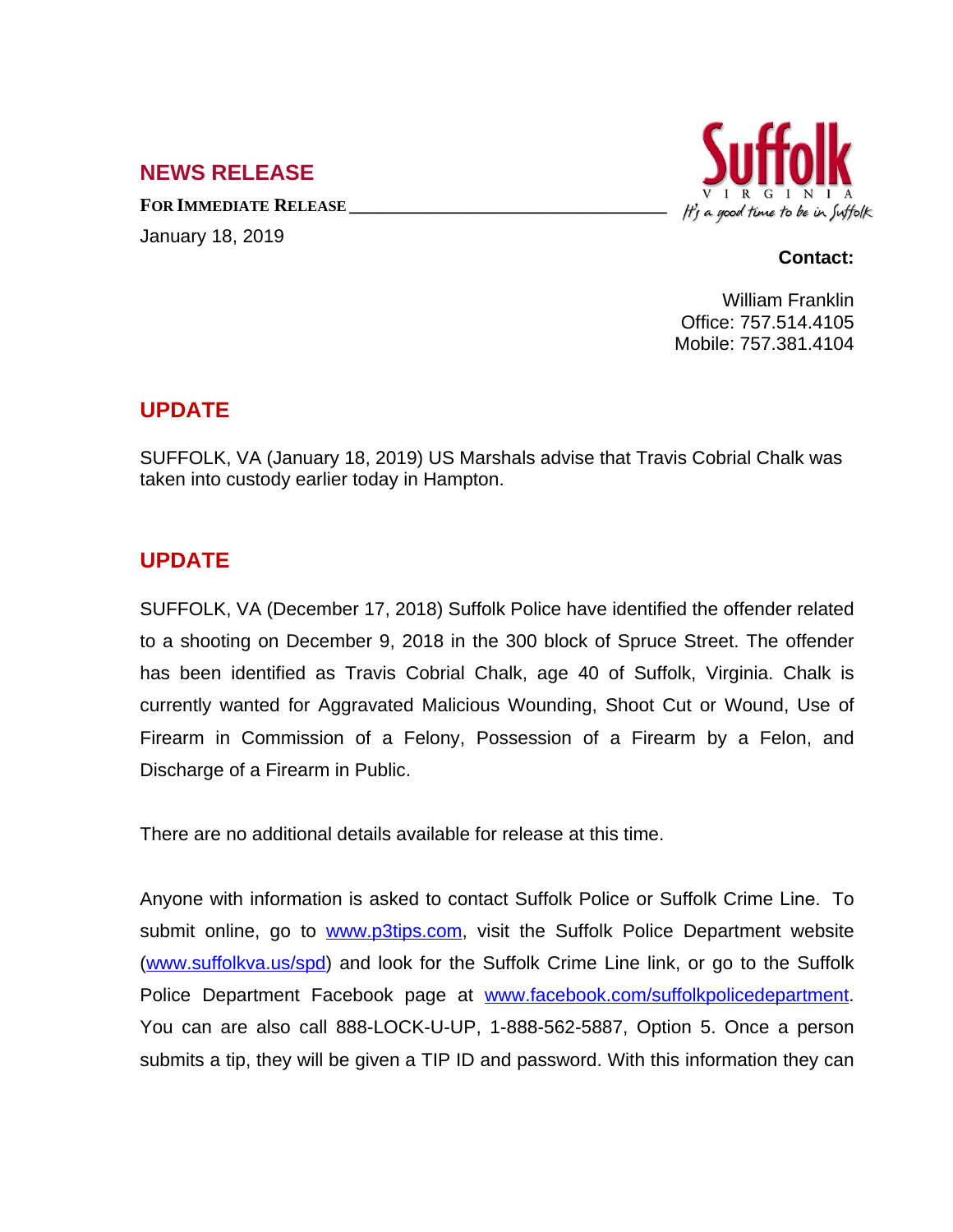### **NEWS RELEASE**

**FOR IMMEDIATE RELEASE \_\_\_\_\_\_\_\_\_\_\_\_\_\_\_\_\_\_\_\_\_\_\_\_\_\_\_\_\_\_\_\_\_\_**

January 18, 2019



#### **Contact:**

William Franklin Office: 757.514.4105 Mobile: 757.381.4104

## **UPDATE**

SUFFOLK, VA (January 18, 2019) US Marshals advise that Travis Cobrial Chalk was taken into custody earlier today in Hampton.

# **UPDATE**

SUFFOLK, VA (December 17, 2018) Suffolk Police have identified the offender related to a shooting on December 9, 2018 in the 300 block of Spruce Street. The offender has been identified as Travis Cobrial Chalk, age 40 of Suffolk, Virginia. Chalk is currently wanted for Aggravated Malicious Wounding, Shoot Cut or Wound, Use of Firearm in Commission of a Felony, Possession of a Firearm by a Felon, and Discharge of a Firearm in Public.

There are no additional details available for release at this time.

Anyone with information is asked to contact Suffolk Police or Suffolk Crime Line. To submit online, go to **[www.p3tips.com](http://www.p3tips.com)**, visit the Suffolk Police Department website ([www.suffolkva.us/spd](http://www.suffolkva.us/spd)) and look for the Suffolk Crime Line link, or go to the Suffolk Police Department Facebook page at [www.facebook.com/suffolkpolicedepartment.](http://www.facebook.com/suffolkpolicedepartment) You can are also call 888-LOCK-U-UP, 1-888-562-5887, Option 5. Once a person submits a tip, they will be given a TIP ID and password. With this information they can